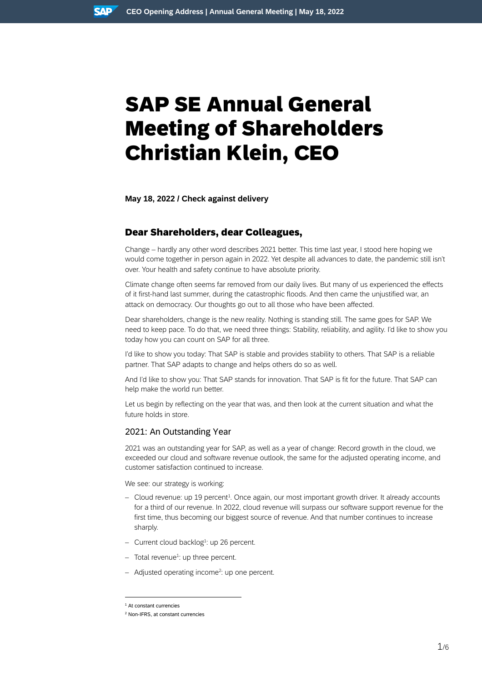# SAP SE Annual General Meeting of Shareholders Christian Klein, CEO

**May 18, 2022 / Check against delivery**

# Dear Shareholders, dear Colleagues,

Change – hardly any other word describes 2021 better. This time last year, I stood here hoping we would come together in person again in 2022. Yet despite all advances to date, the pandemic still isn't over. Your health and safety continue to have absolute priority.

Climate change often seems far removed from our daily lives. But many of us experienced the effects of it first-hand last summer, during the catastrophic floods. And then came the unjustified war, an attack on democracy. Our thoughts go out to all those who have been affected.

Dear shareholders, change is the new reality. Nothing is standing still. The same goes for SAP. We need to keep pace. To do that, we need three things: Stability, reliability, and agility. I'd like to show you today how you can count on SAP for all three.

I'd like to show you today: That SAP is stable and provides stability to others. That SAP is a reliable partner. That SAP adapts to change and helps others do so as well.

And I'd like to show you: That SAP stands for innovation. That SAP is fit for the future. That SAP can help make the world run better.

Let us begin by reflecting on the year that was, and then look at the current situation and what the future holds in store.

## 2021: An Outstanding Year

2021 was an outstanding year for SAP, as well as a year of change: Record growth in the cloud, we exceeded our cloud and software revenue outlook, the same for the adjusted operating income, and customer satisfaction continued to increase.

We see: our strategy is working:

- $-$  Cloud revenue: up 19 percent<sup>1</sup>. Once again, our most important growth driver. It already accounts for a third of our revenue. In 2022, cloud revenue will surpass our software support revenue for the first time, thus becoming our biggest source of revenue. And that number continues to increase sharply.
- Current cloud backlog<sup>1</sup>: up 26 percent.
- $-$  Total revenue<sup>1</sup>: up three percent.
- Adjusted operating income<sup>2</sup>: up one percent.

<sup>1</sup> At constant currencies

<sup>2</sup> Non-IFRS, at constant currencies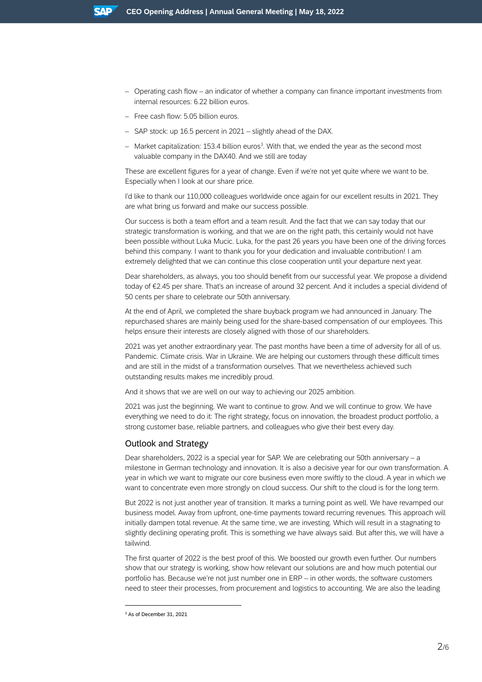- Operating cash flow an indicator of whether a company can finance important investments from internal resources: 6.22 billion euros.
- Free cash flow: 5.05 billion euros.
- SAP stock: up 16.5 percent in 2021 slightly ahead of the DAX.
- Market capitalization: 153.4 billion euros<sup>3</sup>. With that, we ended the year as the second most valuable company in the DAX40. And we still are today

These are excellent figures for a year of change. Even if we're not yet quite where we want to be. Especially when I look at our share price.

I'd like to thank our 110,000 colleagues worldwide once again for our excellent results in 2021. They are what bring us forward and make our success possible.

Our success is both a team effort and a team result. And the fact that we can say today that our strategic transformation is working, and that we are on the right path, this certainly would not have been possible without Luka Mucic. Luka, for the past 26 years you have been one of the driving forces behind this company. I want to thank you for your dedication and invaluable contribution! I am extremely delighted that we can continue this close cooperation until your departure next year.

Dear shareholders, as always, you too should benefit from our successful year. We propose a dividend today of €2.45 per share. That's an increase of around 32 percent. And it includes a special dividend of 50 cents per share to celebrate our 50th anniversary.

At the end of April, we completed the share buyback program we had announced in January. The repurchased shares are mainly being used for the share-based compensation of our employees. This helps ensure their interests are closely aligned with those of our shareholders.

2021 was yet another extraordinary year. The past months have been a time of adversity for all of us. Pandemic. Climate crisis. War in Ukraine. We are helping our customers through these difficult times and are still in the midst of a transformation ourselves. That we nevertheless achieved such outstanding results makes me incredibly proud.

And it shows that we are well on our way to achieving our 2025 ambition.

2021 was just the beginning. We want to continue to grow. And we will continue to grow. We have everything we need to do it: The right strategy, focus on innovation, the broadest product portfolio, a strong customer base, reliable partners, and colleagues who give their best every day.

## Outlook and Strategy

Dear shareholders, 2022 is a special year for SAP. We are celebrating our 50th anniversary – a milestone in German technology and innovation. It is also a decisive year for our own transformation. A year in which we want to migrate our core business even more swiftly to the cloud. A year in which we want to concentrate even more strongly on cloud success. Our shift to the cloud is for the long term.

But 2022 is not just another year of transition. It marks a turning point as well. We have revamped our business model. Away from upfront, one-time payments toward recurring revenues. This approach will initially dampen total revenue. At the same time, we are investing. Which will result in a stagnating to slightly declining operating profit. This is something we have always said. But after this, we will have a tailwind.

The first quarter of 2022 is the best proof of this. We boosted our growth even further. Our numbers show that our strategy is working, show how relevant our solutions are and how much potential our portfolio has. Because we're not just number one in ERP – in other words, the software customers need to steer their processes, from procurement and logistics to accounting. We are also the leading

<sup>3</sup> As of December 31, 2021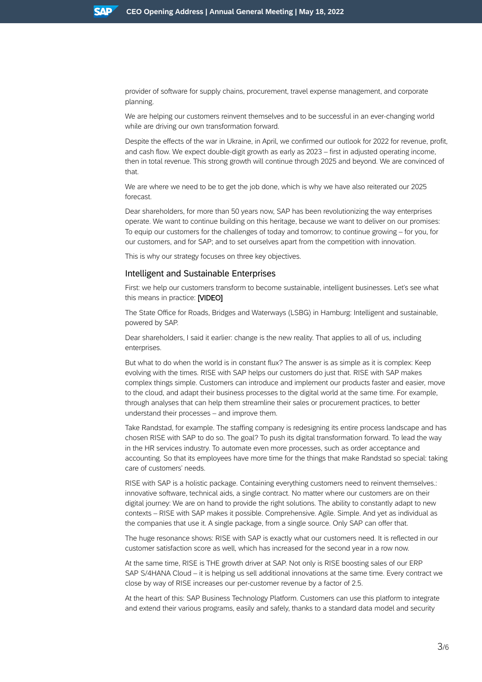provider of software for supply chains, procurement, travel expense management, and corporate planning.

We are helping our customers reinvent themselves and to be successful in an ever-changing world while are driving our own transformation forward.

Despite the effects of the war in Ukraine, in April, we confirmed our outlook for 2022 for revenue, profit, and cash flow. We expect double-digit growth as early as 2023 – first in adjusted operating income, then in total revenue. This strong growth will continue through 2025 and beyond. We are convinced of that.

We are where we need to be to get the job done, which is why we have also reiterated our 2025 forecast.

Dear shareholders, for more than 50 years now, SAP has been revolutionizing the way enterprises operate. We want to continue building on this heritage, because we want to deliver on our promises: To equip our customers for the challenges of today and tomorrow; to continue growing – for you, for our customers, and for SAP; and to set ourselves apart from the competition with innovation.

This is why our strategy focuses on three key objectives.

## Intelligent and Sustainable Enterprises

First: we help our customers transform to become sustainable, intelligent businesses. Let's see what this means in practice: [VIDEO]

The State Office for Roads, Bridges and Waterways (LSBG) in Hamburg: Intelligent and sustainable, powered by SAP.

Dear shareholders, I said it earlier: change is the new reality. That applies to all of us, including enterprises.

But what to do when the world is in constant flux? The answer is as simple as it is complex: Keep evolving with the times. RISE with SAP helps our customers do just that. RISE with SAP makes complex things simple. Customers can introduce and implement our products faster and easier, move to the cloud, and adapt their business processes to the digital world at the same time. For example, through analyses that can help them streamline their sales or procurement practices, to better understand their processes – and improve them.

Take Randstad, for example. The staffing company is redesigning its entire process landscape and has chosen RISE with SAP to do so. The goal? To push its digital transformation forward. To lead the way in the HR services industry. To automate even more processes, such as order acceptance and accounting. So that its employees have more time for the things that make Randstad so special: taking care of customers' needs.

RISE with SAP is a holistic package. Containing everything customers need to reinvent themselves.: innovative software, technical aids, a single contract. No matter where our customers are on their digital journey: We are on hand to provide the right solutions. The ability to constantly adapt to new contexts – RISE with SAP makes it possible. Comprehensive. Agile. Simple. And yet as individual as the companies that use it. A single package, from a single source. Only SAP can offer that.

The huge resonance shows: RISE with SAP is exactly what our customers need. It is reflected in our customer satisfaction score as well, which has increased for the second year in a row now.

At the same time, RISE is THE growth driver at SAP. Not only is RISE boosting sales of our ERP SAP S/4HANA Cloud – it is helping us sell additional innovations at the same time. Every contract we close by way of RISE increases our per-customer revenue by a factor of 2.5.

At the heart of this: SAP Business Technology Platform. Customers can use this platform to integrate and extend their various programs, easily and safely, thanks to a standard data model and security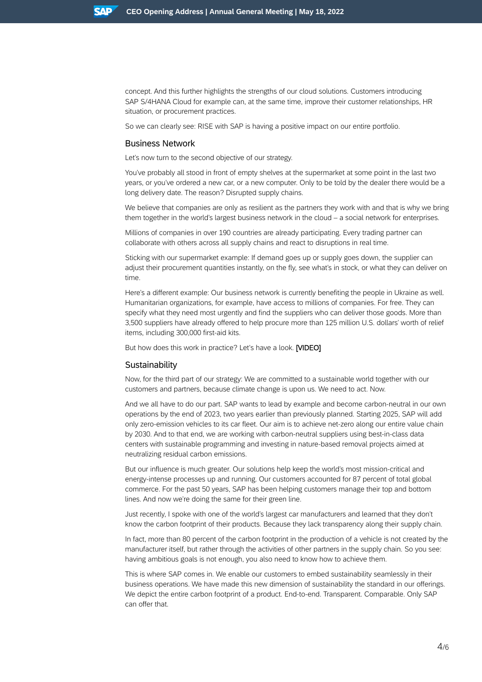concept. And this further highlights the strengths of our cloud solutions. Customers introducing SAP S/4HANA Cloud for example can, at the same time, improve their customer relationships, HR situation, or procurement practices.

So we can clearly see: RISE with SAP is having a positive impact on our entire portfolio.

## Business Network

Let's now turn to the second objective of our strategy.

You've probably all stood in front of empty shelves at the supermarket at some point in the last two years, or you've ordered a new car, or a new computer. Only to be told by the dealer there would be a long delivery date. The reason? Disrupted supply chains.

We believe that companies are only as resilient as the partners they work with and that is why we bring them together in the world's largest business network in the cloud – a social network for enterprises.

Millions of companies in over 190 countries are already participating. Every trading partner can collaborate with others across all supply chains and react to disruptions in real time.

Sticking with our supermarket example: If demand goes up or supply goes down, the supplier can adjust their procurement quantities instantly, on the fly, see what's in stock, or what they can deliver on time.

Here's a different example: Our business network is currently benefiting the people in Ukraine as well. Humanitarian organizations, for example, have access to millions of companies. For free. They can specify what they need most urgently and find the suppliers who can deliver those goods. More than 3,500 suppliers have already offered to help procure more than 125 million U.S. dollars' worth of relief items, including 300,000 first-aid kits.

But how does this work in practice? Let's have a look. **[VIDEO]** 

#### **Sustainability**

Now, for the third part of our strategy: We are committed to a sustainable world together with our customers and partners, because climate change is upon us. We need to act. Now.

And we all have to do our part. SAP wants to lead by example and become carbon-neutral in our own operations by the end of 2023, two years earlier than previously planned. Starting 2025, SAP will add only zero-emission vehicles to its car fleet. Our aim is to achieve net-zero along our entire value chain by 2030. And to that end, we are working with carbon-neutral suppliers using best-in-class data centers with sustainable programming and investing in nature-based removal projects aimed at neutralizing residual carbon emissions.

But our influence is much greater. Our solutions help keep the world's most mission-critical and energy-intense processes up and running. Our customers accounted for 87 percent of total global commerce. For the past 50 years, SAP has been helping customers manage their top and bottom lines. And now we're doing the same for their green line.

Just recently, I spoke with one of the world's largest car manufacturers and learned that they don't know the carbon footprint of their products. Because they lack transparency along their supply chain.

In fact, more than 80 percent of the carbon footprint in the production of a vehicle is not created by the manufacturer itself, but rather through the activities of other partners in the supply chain. So you see: having ambitious goals is not enough, you also need to know how to achieve them.

This is where SAP comes in. We enable our customers to embed sustainability seamlessly in their business operations. We have made this new dimension of sustainability the standard in our offerings. We depict the entire carbon footprint of a product. End-to-end. Transparent. Comparable. Only SAP can offer that.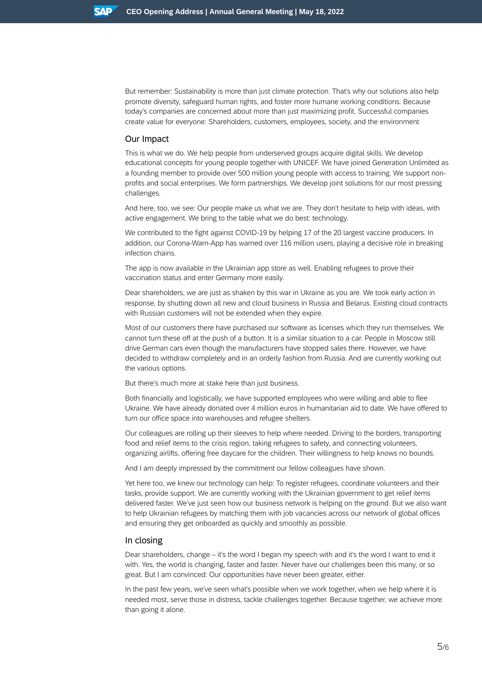But remember: Sustainability is more than just climate protection. That's why our solutions also help promote diversity, safeguard human rights, and foster more humane working conditions. Because today's companies are concerned about more than just maximizing profit. Successful companies create value for everyone: Shareholders, customers, employees, society, and the environment

### Our Impact

This is what we do. We help people from underserved groups acquire digital skills. We develop educational concepts for young people together with UNICEF. We have joined Generation Unlimited as a founding member to provide over 500 million young people with access to training. We support nonprofits and social enterprises. We form partnerships. We develop joint solutions for our most pressing challenges.

And here, too, we see: Our people make us what we are. They don't hesitate to help with ideas, with active engagement. We bring to the table what we do best: technology.

We contributed to the fight against COVID-19 by helping 17 of the 20 largest vaccine producers. In addition, our Corona-Warn-App has warned over 116 million users, playing a decisive role in breaking infection chains.

The app is now available in the Ukrainian app store as well. Enabling refugees to prove their vaccination status and enter Germany more easily.

Dear shareholders, we are just as shaken by this war in Ukraine as you are. We took early action in response, by shutting down all new and cloud business in Russia and Belarus. Existing cloud contracts with Russian customers will not be extended when they expire.

Most of our customers there have purchased our software as licenses which they run themselves. We cannot turn these off at the push of a button. It is a similar situation to a car. People in Moscow still drive German cars even though the manufacturers have stopped sales there. However, we have decided to withdraw completely and in an orderly fashion from Russia. And are currently working out the various options.

But there's much more at stake here than just business.

Both financially and logistically, we have supported employees who were willing and able to flee Ukraine. We have already donated over 4 million euros in humanitarian aid to date. We have offered to turn our office space into warehouses and refugee shelters.

Our colleagues are rolling up their sleeves to help where needed. Driving to the borders, transporting food and relief items to the crisis region, taking refugees to safety, and connecting volunteers, organizing airlifts, offering free daycare for the children. Their willingness to help knows no bounds.

And I am deeply impressed by the commitment our fellow colleagues have shown.

Yet here too, we knew our technology can help: To register refugees, coordinate volunteers and their tasks, provide support. We are currently working with the Ukrainian government to get relief items delivered faster. We've just seen how our business network is helping on the ground. But we also want to help Ukrainian refugees by matching them with job vacancies across our network of global offices and ensuring they get onboarded as quickly and smoothly as possible.

#### In closing

Dear shareholders, change – it's the word I began my speech with and it's the word I want to end it with. Yes, the world is changing, faster and faster. Never have our challenges been this many, or so great. But I am convinced: Our opportunities have never been greater, either.

In the past few years, we've seen what's possible when we work together, when we help where it is needed most, serve those in distress, tackle challenges together. Because together, we achieve more than going it alone.